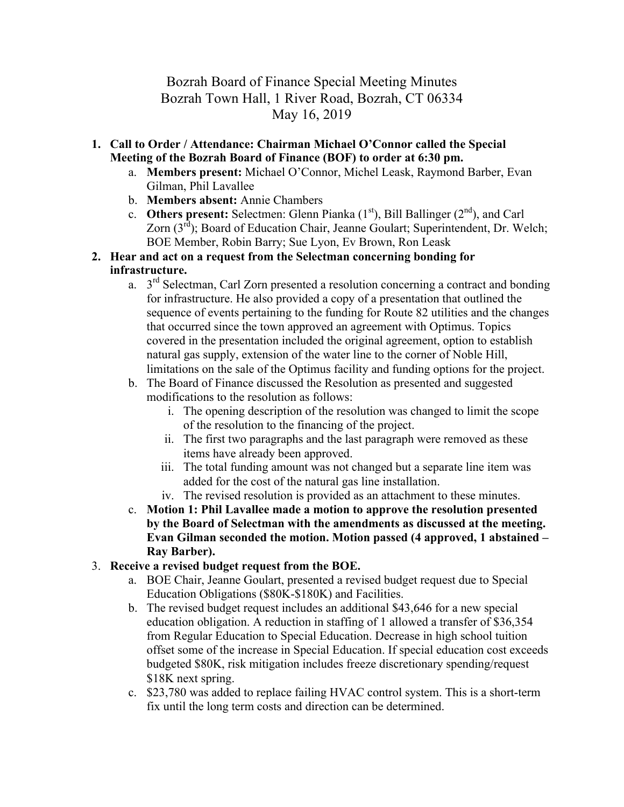# Bozrah Board of Finance Special Meeting Minutes Bozrah Town Hall, 1 River Road, Bozrah, CT 06334 May 16, 2019

- **1. Call to Order / Attendance: Chairman Michael O'Connor called the Special Meeting of the Bozrah Board of Finance (BOF) to order at 6:30 pm.**
	- a. **Members present:** Michael O'Connor, Michel Leask, Raymond Barber, Evan Gilman, Phil Lavallee
	- b. **Members absent:** Annie Chambers
	- c. **Others present:** Selectmen: Glenn Pianka  $(1<sup>st</sup>)$ , Bill Ballinger  $(2<sup>nd</sup>)$ , and Carl Zorn  $(3<sup>rd</sup>)$ ; Board of Education Chair, Jeanne Goulart; Superintendent, Dr. Welch; BOE Member, Robin Barry; Sue Lyon, Ev Brown, Ron Leask
- **2. Hear and act on a request from the Selectman concerning bonding for infrastructure.**
	- a.  $3<sup>rd</sup>$  Selectman, Carl Zorn presented a resolution concerning a contract and bonding for infrastructure. He also provided a copy of a presentation that outlined the sequence of events pertaining to the funding for Route 82 utilities and the changes that occurred since the town approved an agreement with Optimus. Topics covered in the presentation included the original agreement, option to establish natural gas supply, extension of the water line to the corner of Noble Hill, limitations on the sale of the Optimus facility and funding options for the project.
	- b. The Board of Finance discussed the Resolution as presented and suggested modifications to the resolution as follows:
		- i. The opening description of the resolution was changed to limit the scope of the resolution to the financing of the project.
		- ii. The first two paragraphs and the last paragraph were removed as these items have already been approved.
		- iii. The total funding amount was not changed but a separate line item was added for the cost of the natural gas line installation.
		- iv. The revised resolution is provided as an attachment to these minutes.
	- c. **Motion 1: Phil Lavallee made a motion to approve the resolution presented by the Board of Selectman with the amendments as discussed at the meeting. Evan Gilman seconded the motion. Motion passed (4 approved, 1 abstained – Ray Barber).**

#### 3. **Receive a revised budget request from the BOE.**

- a. BOE Chair, Jeanne Goulart, presented a revised budget request due to Special Education Obligations (\$80K-\$180K) and Facilities.
- b. The revised budget request includes an additional \$43,646 for a new special education obligation. A reduction in staffing of 1 allowed a transfer of \$36,354 from Regular Education to Special Education. Decrease in high school tuition offset some of the increase in Special Education. If special education cost exceeds budgeted \$80K, risk mitigation includes freeze discretionary spending/request \$18K next spring.
- c. \$23,780 was added to replace failing HVAC control system. This is a short-term fix until the long term costs and direction can be determined.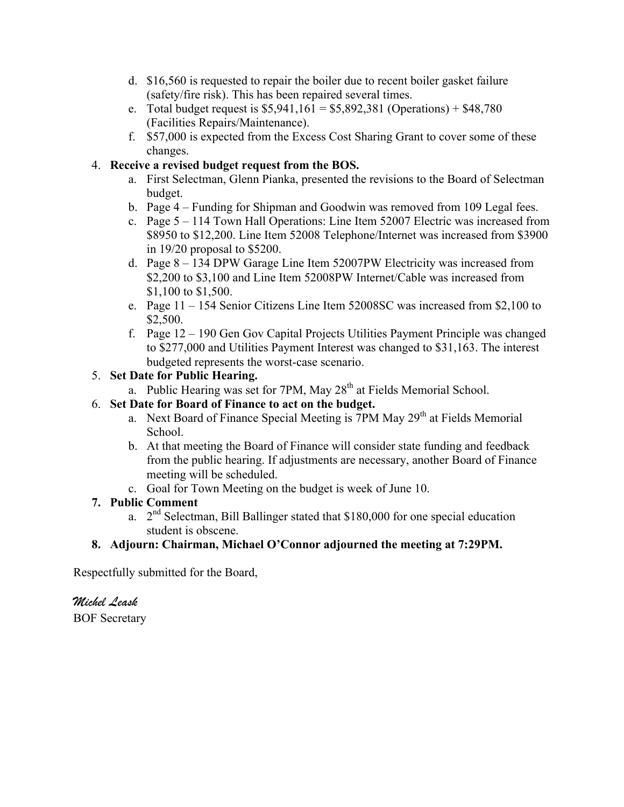- d. \$16,560 is requested to repair the boiler due to recent boiler gasket failure (safety/fire risk). This has been repaired several times.
- e. Total budget request is  $$5,941,161 = $5,892,381$  (Operations) + \$48,780 (Facilities Repairs/Maintenance).
- f. \$57,000 is expected from the Excess Cost Sharing Grant to cover some of these changes.

### 4. **Receive a revised budget request from the BOS.**

- a. First Selectman, Glenn Pianka, presented the revisions to the Board of Selectman budget.
- b. Page 4 Funding for Shipman and Goodwin was removed from 109 Legal fees.
- c. Page 5 114 Town Hall Operations: Line Item 52007 Electric was increased from \$8950 to \$12,200. Line Item 52008 Telephone/Internet was increased from \$3900 in 19/20 proposal to \$5200.
- d. Page 8 134 DPW Garage Line Item 52007PW Electricity was increased from \$2,200 to \$3,100 and Line Item 52008PW Internet/Cable was increased from \$1,100 to \$1,500.
- e. Page 11 154 Senior Citizens Line Item 52008SC was increased from \$2,100 to \$2,500.
- f. Page 12 190 Gen Gov Capital Projects Utilities Payment Principle was changed to \$277,000 and Utilities Payment Interest was changed to \$31,163. The interest budgeted represents the worst-case scenario.

### 5. **Set Date for Public Hearing.**

a. Public Hearing was set for 7PM, May 28<sup>th</sup> at Fields Memorial School.

### 6. **Set Date for Board of Finance to act on the budget.**

- a. Next Board of Finance Special Meeting is  $7PM$  May  $29<sup>th</sup>$  at Fields Memorial School.
- b. At that meeting the Board of Finance will consider state funding and feedback from the public hearing. If adjustments are necessary, another Board of Finance meeting will be scheduled.
- c. Goal for Town Meeting on the budget is week of June 10.

## **7. Public Comment**

a.  $2<sup>nd</sup> Selectronan, Bill Ballinger stated that $180,000 for one special education$ student is obscene.

## **8. Adjourn: Chairman, Michael O'Connor adjourned the meeting at 7:29PM.**

Respectfully submitted for the Board,

# *Michel Leask*

BOF Secretary